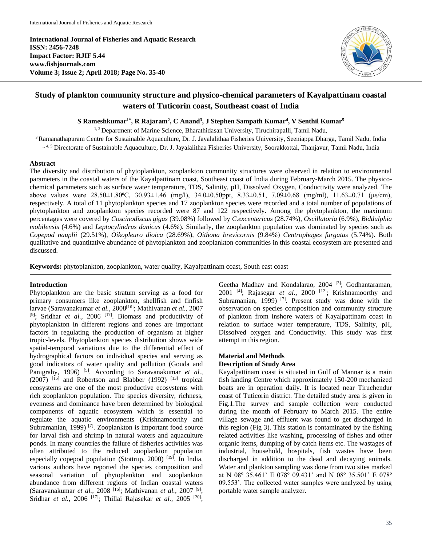**International Journal of Fisheries and Aquatic Research ISSN: 2456-7248 Impact Factor: RJIF 5.44 www.fishjournals.com Volume 3; Issue 2; April 2018; Page No. 35-40**



# **Study of plankton community structure and physico-chemical parameters of Kayalpattinam coastal waters of Tuticorin coast, Southeast coast of India**

**S Rameshkumar1\* , R Rajaram<sup>2</sup> , C Anand<sup>3</sup> , J Stephen Sampath Kumar<sup>4</sup> , V Senthil Kumar<sup>5</sup>**

<sup>1, 2</sup> Department of Marine Science, Bharathidasan University, Tiruchirapalli, Tamil Nadu,

<sup>3</sup> Ramanathapuram Centre for Sustainable Aquaculture, Dr. J. Jayalalithaa Fisheries University, Seeniappa Dharga, Tamil Nadu, India 1, 4, 5 Directorate of Sustainable Aquaculture, Dr. J. Jayalalithaa Fisheries University, Soorakkottai, Thanjavur, Tamil Nadu, India

#### **Abstract**

The diversity and distribution of phytoplankton, zooplankton community structures were observed in relation to environmental parameters in the coastal waters of the Kayalpattinam coast, Southeast coast of India during February-March 2015. The physicochemical parameters such as surface water temperature, TDS, Salinity, pH, Dissolved Oxygen, Conductivity were analyzed. The above values were  $28.50\pm1.80^{\circ}$ C,  $30.93\pm1.46$  (mg/l),  $34.0\pm0.50$ ppt,  $8.33\pm0.51$ ,  $7.09\pm0.68$  (mg/ml),  $11.63\pm0.71$  ( $\mu s/cm$ ), respectively. A total of 11 phytoplankton species and 17 zooplankton species were recorded and a total number of populations of phytoplankton and zooplankton species recorded were 87 and 122 respectively. Among the phytoplankton, the maximum percentages were covered by *Coscinodiscus gigas* (39.08%) followed by *C.excentericus* (28.74%), *Oscillatoria* (6.9%), *Biddulphia mobilensis* (4.6%) and *Leptocylindrus danicus* (4.6%). Similarly, the zooplankton population was dominated by species such as *Copepod nauplii* (29.51%), *Oikopleuro dioica* (28.69%), *Oithona brevicornis* (9.84%) *Centrophages furgatus* (5.74%). Both qualitative and quantitative abundance of phytoplankton and zooplankton communities in this coastal ecosystem are presented and discussed.

**Keywords:** phytoplankton, zooplankton, water quality, Kayalpattinam coast, South east coast

## **Introduction**

Phytoplankton are the basic stratum serving as a food for primary consumers like zooplankton, shellfish and finfish larvae (Saravanakumar *et al.,* 2008[16]; Mathivanan *et al.,* 2007 [9] ; Sridhar *et al.,* 2006 [17]. Biomass and productivity of phytoplankton in different regions and zones are important factors in regulating the production of organism at higher tropic-levels. Phytoplankton species distribution shows wide spatial-temporal variations due to the differential effect of hydrographical factors on individual species and serving as good indicators of water quality and pollution (Gouda and Panigrahy, 1996) <sup>[5]</sup>. According to Saravanakumar *et al.*,  $(2007)$ <sup>[15]</sup> and Robertson and Blabber (1992)<sup>[13]</sup> tropical ecosystems are one of the most productive ecosystems with rich zooplankton population. The species diversity, richness, evenness and dominance have been determined by biological components of aquatic ecosystem which is essential to regulate the aquatic environments (Krishnamoorthy and Subramanian, 1999)<sup>[7]</sup>. Zooplankton is important food source for larval fish and shrimp in natural waters and aquaculture ponds. In many countries the failure of fisheries activities was often attributed to the reduced zooplankton population especially copepod population (Stottrup, 2000)  $[19]$ . In India, various authors have reported the species composition and seasonal variation of phytoplankton and zooplankton abundance from different regions of Indian coastal waters (Saravanakumar *et al.,* 2008 [16]; Mathivanan *et al.,* 2007 [9]; Sridhar *et al.*, 2006<sup>[17]</sup>; Thillai Rajasekar *et al.*, 2005<sup>[20]</sup>;

Geetha Madhav and Kondalarao, 2004<sup>[3]</sup>; Godhantaraman, 2001 [4]; Rajasegar *et al.,* 2000 [12]; Krishnamoorthy and Subramanian, 1999)<sup>[7]</sup>. Present study was done with the observation on species composition and community structure of plankton from inshore waters of Kayalpattinam coast in relation to surface water temperature, TDS, Salinity, pH, Dissolved oxygen and Conductivity. This study was first attempt in this region.

### **Material and Methods**

### **Description of Study Area**

Kayalpattinam coast is situated in Gulf of Mannar is a main fish landing Centre which approximately 150-200 mechanized boats are in operation daily. It is located near Tiruchendur coast of Tuticorin district. The detailed study area is given in Fig.1.The survey and sample collection were conducted during the month of February to March 2015. The entire village sewage and effluent was found to get discharged in this region (Fig 3). This station is contaminated by the fishing related activities like washing, processing of fishes and other organic items, dumping of by catch items etc. The wastages of industrial, household, hospitals, fish wastes have been discharged in addition to the dead and decaying animals. Water and plankton sampling was done from two sites marked at N 08º 35.461' E 078º 09.431' and N 08º 35.501' E 078º 09.553'. The collected water samples were analyzed by using portable water sample analyzer.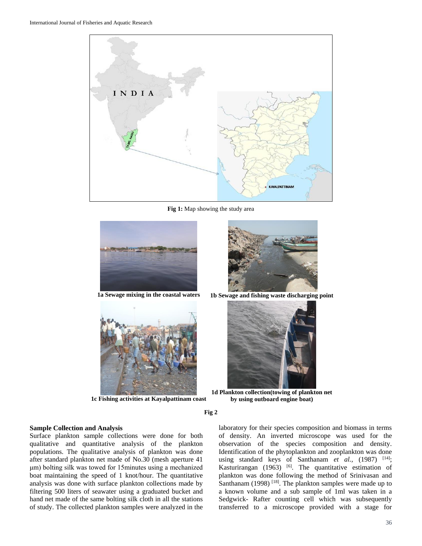

**Fig 1:** Map showing the study area





**1c Fishing activities at Kayalpattinam coast**



**1a Sewage mixing in the coastal waters 1b Sewage and fishing waste discharging point**



**1d Plankton collection(towing of plankton net by using outboard engine boat)**

**Fig 2**

## **Sample Collection and Analysis**

Surface plankton sample collections were done for both qualitative and quantitative analysis of the plankton populations. The qualitative analysis of plankton was done after standard plankton net made of No.30 (mesh aperture 41 μm) bolting silk was towed for 15minutes using a mechanized boat maintaining the speed of 1 knot/hour. The quantitative analysis was done with surface plankton collections made by filtering 500 liters of seawater using a graduated bucket and hand net made of the same bolting silk cloth in all the stations of study. The collected plankton samples were analyzed in the laboratory for their species composition and biomass in terms of density. An inverted microscope was used for the observation of the species composition and density. Identification of the phytoplankton and zooplankton was done using standard keys of Santhanam *et al.*, (1987) <sup>[14]</sup>; Kasturirangan (1963)  $[6]$ . The quantitative estimation of plankton was done following the method of Srinivasan and Santhanam (1998)  $^{[18]}$ . The plankton samples were made up to a known volume and a sub sample of 1ml was taken in a Sedgwick- Rafter counting cell which was subsequently transferred to a microscope provided with a stage for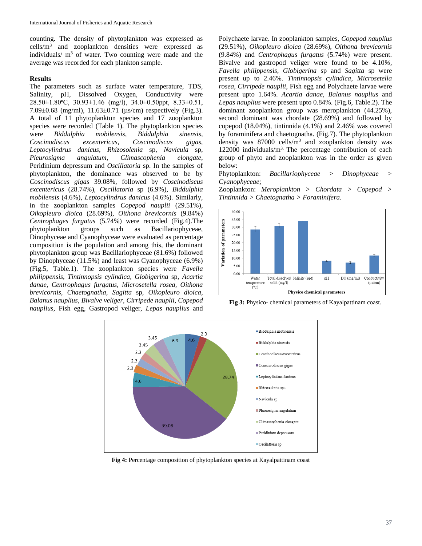counting. The density of phytoplankton was expressed as  $cells/m<sup>3</sup>$  and zooplankton densities were expressed as individuals/ $m<sup>3</sup>$  of water. Two counting were made and the average was recorded for each plankton sample.

#### **Results**

The parameters such as surface water temperature, TDS, Salinity, pH, Dissolved Oxygen, Conductivity were 28.50±1.80⁰C, 30.93±1.46 (mg/l), 34.0±0.50ppt, 8.33±0.51, 7.09±0.68 (mg/ml), 11.63±0.71 (µs/cm) respectively (Fig.3). A total of 11 phytoplankton species and 17 zooplankton species were recorded (Table 1). The phytoplankton species were *Biddulphia mobilensis*, *Biddulphia sinensis, Coscinodiscus excentericus, Coscinodiscus gigas, Leptocylindrus danicus*, *Rhizosolenia* sp, *Navicula* sp, *Pleurosigma angulatum*, *Climascophenia elongate*, Peridinium depressum and *Oscillatoria* sp. In the samples of phytoplankton, the dominance was observed to be by *Coscinodiscus gigas* 39.08%, followed by *Coscinodiscus excentericus* (28.74%), *Oscillatoria* sp (6.9%), *Biddulphia mobilensis* (4.6%), *Leptocylindrus danicus* (4.6%). Similarly, in the zooplankton samples *Copepod nauplii* (29.51%), *Oikopleuro dioica* (28.69%), *Oithona brevicornis* (9.84%) *Centrophages furgatus* (5.74%) were recorded (Fig.4).The phytoplankton groups such as Bacillariophyceae, Dinophyceae and Cyanophyceae were evaluated as percentage composition is the population and among this, the dominant phytoplankton group was Bacillariophyceae (81.6%) followed by Dinophyceae (11.5%) and least was Cyanophyceae (6.9%) (Fig.5, Table.1). The zooplankton species were *Favella philippensis*, *Tintinnopsis cylindica, Globigerina* sp, *Acartia danae, Centrophagus furgatus, Microsetella rosea, Oithona brevicornis, Chaetognatha*, *Sagitta* sp, *Oikopleuro dioica, Balanus nauplius, Bivalve veliger, Cirripede nauplii*, *Copepod nauplius*, Fish egg, Gastropod veliger, *Lepas nauplius* and

Polychaete larvae. In zooplankton samples, *Copepod nauplius* (29.51%), *Oikopleuro dioica* (28.69%), *Oithona brevicornis* (9.84%) and *Centrophagus furgatus* (5.74%) were present. Bivalve and gastropod veliger were found to be 4.10*%, Favella philippensis*, *Globigerina* sp and *Sagitta* sp were present up to 2.46%. *Tintinnopsis cylindica*, *Microsetella rosea*, *Cirripede nauplii*, Fish egg and Polychaete larvae were present upto 1.64%. *Acartia danae*, *Balanus nauplius* and *Lepas nauplius* were present upto 0.84%. (Fig.6, Table.2). The dominant zooplankton group was meroplankton (44.25%), second dominant was chordate (28.69%) and followed by copepod (18.04%), tintinnida (4.1%) and 2.46% was covered by foraminifera and chaetognatha. (Fig.7). The phytoplankton density was  $87000$  cells/ $m<sup>3</sup>$  and zooplankton density was 122000 individuals/ $m<sup>3</sup>$ . The percentage contribution of each group of phyto and zooplankton was in the order as given below:

Phytoplankton: *Bacillariophyceae > Dinophyceae > Cyanophyceae*;

Zooplankton: *Meroplankton > Chordata > Copepod > Tintinnida > Chaetognatha > Foraminifera*.



**Fig 3:** Physico- chemical parameters of Kayalpattinam coast.



**Fig 4:** Percentage composition of phytoplankton species at Kayalpattinam coast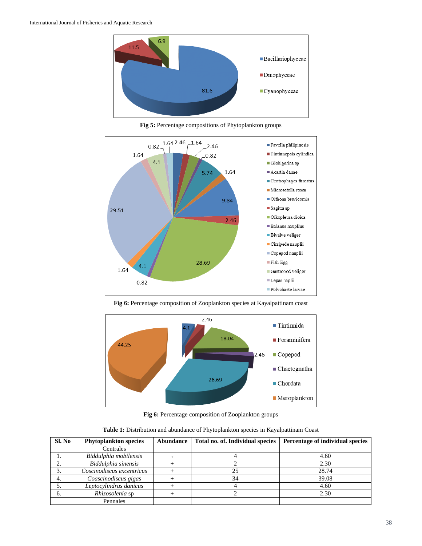

**Fig 5:** Percentage compositions of Phytoplankton groups



Fig 6: Percentage composition of Zooplankton species at Kayalpattinam coast



**Fig 6:** Percentage composition of Zooplankton groups

| Table 1: Distribution and abundance of Phytoplankton species in Kayalpattinam Coast |  |  |  |  |
|-------------------------------------------------------------------------------------|--|--|--|--|
|-------------------------------------------------------------------------------------|--|--|--|--|

| SI. No | <b>Phytoplankton species</b> | Abundance | Total no. of. Individual species | Percentage of individual species |
|--------|------------------------------|-----------|----------------------------------|----------------------------------|
|        | Centrales                    |           |                                  |                                  |
|        | Biddulphia mobilensis        |           |                                  | 4.60                             |
|        | Biddulphia sinensis          |           |                                  | 2.30                             |
|        | Coscinodiscus excentricus    |           | 25                               | 28.74                            |
|        | Coascinodiscus gigas         |           | 34                               | 39.08                            |
|        | Leptocylindrus danicus       |           |                                  | 4.60                             |
|        | Rhizosolenia sp              |           |                                  | 2.30                             |
|        | Pennales                     |           |                                  |                                  |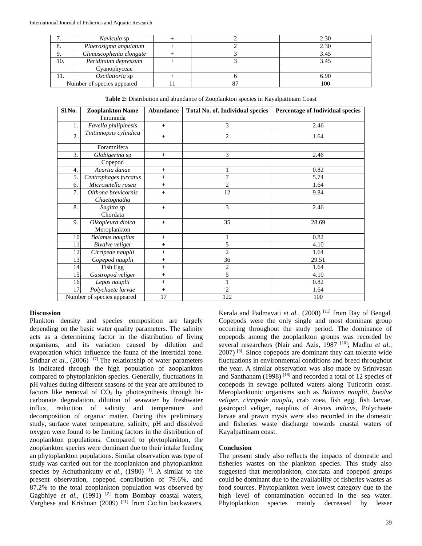|     | Navicula sp                |  | 2.30 |
|-----|----------------------------|--|------|
|     | Pluerosigma angulatum      |  | 2.30 |
|     | Climascophenia elongate    |  | 3.45 |
| 10. | Peridinium depressum       |  | 3.45 |
|     | Cyanophyceae               |  |      |
| ΙI. | Oscilattoria sp            |  | 6.90 |
|     | Number of species appeared |  | 100  |

**Table 2:** Distribution and abundance of Zooplankton species in Kayalpattinam Coast

| Sl.No. | <b>Zooplankton Name</b>    | Abundance | <b>Total No. of. Individual species</b> | <b>Percentage of Individual species</b> |
|--------|----------------------------|-----------|-----------------------------------------|-----------------------------------------|
|        | Tintinnida                 |           |                                         |                                         |
| 1.     | Favella philipinesis       | $+$       | 3                                       | 2.46                                    |
| 2.     | Tintinnopsis cylindica     | $+$       | $\overline{c}$                          | 1.64                                    |
|        | Foramnifera                |           |                                         |                                         |
| 3.     | Globigerina sp             | $+$       | 3                                       | 2.46                                    |
|        | Copepod                    |           |                                         |                                         |
| 4.     | Acartia danae              | $+$       |                                         | 0.82                                    |
| 5.     | Centrophages furcatus      | $^{+}$    | 7                                       | 5.74                                    |
| 6.     | Microsetella rosea         | $^{+}$    | $\overline{2}$                          | 1.64                                    |
| 7.     | Oithona brevicornis        | $+$       | 12                                      | 9.84                                    |
|        | Chaetognatha               |           |                                         |                                         |
| 8.     | Sagitta sp                 | $+$       | 3                                       | 2.46                                    |
|        | Chordata                   |           |                                         |                                         |
| 9.     | Oikopleura dioica          | $+$       | 35                                      | 28.69                                   |
|        | Meroplankton               |           |                                         |                                         |
| 10.    | <b>Balanus nauplius</b>    | $+$       |                                         | 0.82                                    |
| 11.    | Bivalve veliger            | $^{+}$    | 5                                       | 4.10                                    |
| 12     | Cirripede nauplii          | $^{+}$    | $\overline{2}$                          | 1.64                                    |
| 13.    | Copepod nauplii            | $^{+}$    | 36                                      | 29.51                                   |
| 14.    | Fish Egg                   | $^{+}$    | $\overline{c}$                          | 1.64                                    |
| 15.    | Gastropod veliger          | $^{+}$    | 5                                       | 4.10                                    |
| 16.    | Lepas nauplii              | $+$       | $\mathbf{1}$                            | 0.82                                    |
| 17.    | Polychaete larvae          | $^{+}$    | $\overline{2}$                          | 1.64                                    |
|        | Number of species appeared | 17        | 122                                     | 100                                     |

### **Discussion**

Plankton density and species composition are largely depending on the basic water quality parameters. The salinity acts as a determining factor in the distribution of living organisms, and its variation caused by dilution and evaporation which influence the fauna of the intertidal zone. Sridhar *et al.*, (2006)<sup>[17]</sup>. The relationship of water parameters is indicated through the high population of zooplankton compared to phytoplankton species. Generally, fluctuations in pH values during different seasons of the year are attributed to factors like removal of  $CO<sub>2</sub>$  by photosynthesis through bicarbonate degradation, dilution of seawater by freshwater influx, reduction of salinity and temperature and decomposition of organic matter. During this preliminary study, surface water temperature, salinity, pH and dissolved oxygen were found to be limiting factors in the distribution of zooplankton populations. Compared to phytoplankton, the zooplankton species were dominant due to their intake feeding an phytoplankton populations. Similar observation was type of study was carried out for the zooplankton and phytoplankton species by Achuthankutty *et al.*, (1980)<sup>[1]</sup>. A similar to the present observation, copepod contribution of 79.6%, and 87.2% to the total zooplankton population was observed by Gagbhiye et al., (1991) <sup>[2]</sup> from Bombay coastal waters, Varghese and Krishnan (2009) [21] from Cochin backwaters, Kerala and Padmavati et al., (2008)<sup>[11]</sup> from Bay of Bengal. Copepods were the only single and most dominant group occurring throughout the study period. The dominance of copepods among the zooplankton groups was recorded by several researchers (Nair and Azis, 1987<sup>[10]</sup>; Madhu et al., 2007) [8]. Since copepods are dominant they can tolerate wide fluctuations in environmental conditions and breed throughout the year. A similar observation was also made by Srinivasan and Santhanam  $(1998)$ <sup>[18]</sup> and recorded a total of 12 species of copepods in sewage polluted waters along Tuticorin coast. Meroplanktonic organisms such as *Balanus nauplii*, *bivalve veliger*, *cirripede nauplii*, crab zoea, fish egg, fish larvae, gastropod veliger, nauplius of *Acetes indicus*, Polychaete larvae and prawn mysis were also recorded in the domestic and fisheries waste discharge towards coastal waters of Kayalpattinam coast.

### **Conclusion**

The present study also reflects the impacts of domestic and fisheries wastes on the plankton species. This study also suggested that meroplankton, chordata and copepod groups could be dominant due to the availability of fisheries wastes as food sources. Phytoplankton were lowest category due to the high level of contamination occurred in the sea water. Phytoplankton species mainly decreased by lesser